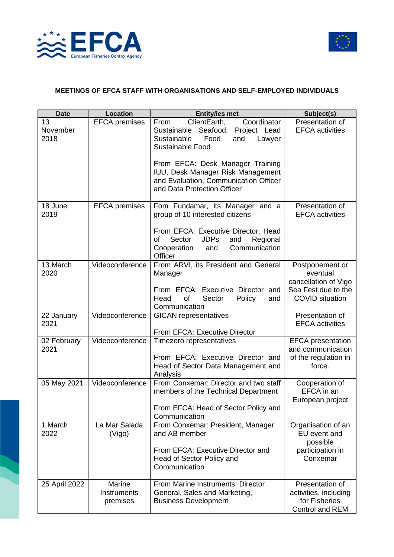



## **MEETINGS OF EFCA STAFF WITH ORGANISATIONS AND SELF-EMPLOYED INDIVIDUALS**

| <b>Date</b>            | Location                          | <b>Entity/ies met</b>                                                                                                                                                          | Subject(s)                                                                   |
|------------------------|-----------------------------------|--------------------------------------------------------------------------------------------------------------------------------------------------------------------------------|------------------------------------------------------------------------------|
| 13<br>November<br>2018 | <b>EFCA</b> premises              | ClientEarth,<br>Coordinator<br>From<br>Seafood,<br>Project Lead<br>Sustainable<br>Sustainable<br>Food<br>and<br>Lawyer<br>Sustainable Food<br>From EFCA: Desk Manager Training | Presentation of<br><b>EFCA</b> activities                                    |
|                        |                                   | IUU, Desk Manager Risk Management<br>and Evaluation, Communication Officer<br>and Data Protection Officer                                                                      |                                                                              |
| 18 June<br>2019        | <b>EFCA</b> premises              | Fom Fundamar, its Manager and a<br>group of 10 interested citizens<br>From EFCA: Executive Director, Head<br><b>JDPs</b><br>Sector<br>and<br>of<br>Regional                    | Presentation of<br><b>EFCA</b> activities                                    |
|                        |                                   | Cooperation<br>Communication<br>and<br>Officer                                                                                                                                 |                                                                              |
| 13 March<br>2020       | Videoconference                   | From ARVI, its President and General<br>Manager                                                                                                                                | Postponement or<br>eventual<br>cancellation of Vigo                          |
|                        |                                   | From EFCA: Executive Director and<br>Head<br>of<br>Sector<br>Policy<br>and<br>Communication                                                                                    | Sea Fest due to the<br><b>COVID</b> situation                                |
| 22 January<br>2021     | Videoconference                   | <b>GICAN</b> representatives<br>From EFCA: Executive Director                                                                                                                  | Presentation of<br><b>EFCA</b> activities                                    |
| 02 February<br>2021    | Videoconference                   | Timezero representatives                                                                                                                                                       | <b>EFCA</b> presentation<br>and communication                                |
|                        |                                   | From EFCA: Executive Director and<br>Head of Sector Data Management and<br>Analysis                                                                                            | of the regulation in<br>force.                                               |
| 05 May 2021            | Videoconference                   | From Conxemar: Director and two staff<br>members of the Technical Department                                                                                                   | Cooperation of<br>EFCA in an<br>European project                             |
|                        |                                   | From EFCA: Head of Sector Policy and<br>Communication                                                                                                                          |                                                                              |
| 1 March<br>2022        | La Mar Salada<br>(Vigo)           | From Conxemar: President, Manager<br>and AB member                                                                                                                             | Organisation of an<br>EU event and<br>possible                               |
|                        |                                   | From EFCA: Executive Director and<br>Head of Sector Policy and<br>Communication                                                                                                | participation in<br>Conxemar                                                 |
| 25 April 2022          | Marine<br>Instruments<br>premises | From Marine Instruments: Director<br>General, Sales and Marketing,<br><b>Business Development</b>                                                                              | Presentation of<br>activities, including<br>for Fisheries<br>Control and REM |